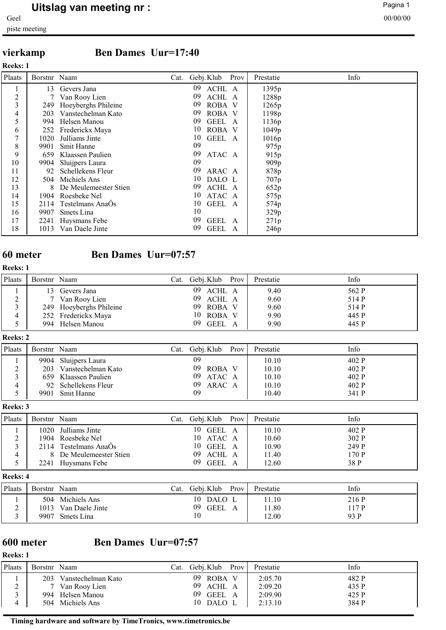# **vierkamp Ben Dames Uur=17:40**

**Reeks: 1**

| Plaats         | Borstnr Naam |                       | Cat. Gebj. Klub |             | Prov | Prestatie        | Info |
|----------------|--------------|-----------------------|-----------------|-------------|------|------------------|------|
| л.             | 13           | Gevers Jana           | 09              | ACHL A      |      | 1395p            |      |
| $\overline{2}$ |              | Van Rooy Lien         | 09              | ACHL A      |      | 1288p            |      |
| 3              | 249          | Hoeyberghs Phileine   | 09              | ROBA V      |      | 1265p            |      |
| 4              | 203          | Vanstechelman Kato    | 09              | ROBA V      |      | 1198p            |      |
| 5              | 994          | Helsen Manou          | 09              | <b>GEEL</b> | A    | 1136p            |      |
| 6              |              | 252 Frederickx Maya   | 10              | ROBA V      |      | 1049p            |      |
| 7              | 1020         | Julliams Jinte        | 10              | GEEL A      |      | 1016p            |      |
| 8              | 9901         | Smit Hanne            | 09              |             |      | 975 <sub>p</sub> |      |
| 9              | 659          | Klaassen Paulien      | 09              | ATAC A      |      | 915 <sub>p</sub> |      |
| 10             | 9904         | Sluijpers Laura       | 09              |             |      | 909p             |      |
| 11             | 92           | Schellekens Fleur     | 09              | ARAC A      |      | 878p             |      |
| 12             | 504          | Michiels Ans          | 10              | DALO L      |      | 707p             |      |
| 13             | 8            | De Meulemeester Stien | 09              | ACHL A      |      | 652p             |      |
| 14             | 1904         | Roesbeke Nel          | 10              | ATAC A      |      | 575 <sub>p</sub> |      |
| 15             | 2114         | Testelmans AnaOs      | 10              | GEEL A      |      | 574p             |      |
| 16             | 9907         | Smets Lina            | 10              |             |      | 329p             |      |
| 17             | 2241         | Huysmans Febe         | 09              | <b>GEEL</b> | A    | 271p             |      |
| 18             | 1013         | Van Daele Jinte       | 09              | <b>GEEL</b> | A    | 246 <sub>p</sub> |      |

## **60 meter Ben Dames Uur=07:57**

### **Reeks: 1**

| Plaats      | Borstnr Naam |                         | Cat. | Gebj. Klub Prov | Prestatie | Info  |
|-------------|--------------|-------------------------|------|-----------------|-----------|-------|
|             |              | Gevers Jana             |      | 09 ACHL A       | 9.40      | 562 P |
| $\sim$<br>∠ |              | 7 Van Rooy Lien         |      | 09 ACHL A       | 9.60      | 514 P |
| $\sim$      |              | 249 Hoeyberghs Phileine |      | 09 ROBA V       | 9.60      | 514 P |
| 4           |              | 252 Frederickx Maya     |      | 10 ROBA V       | 9.90      | 445 P |
|             |              | 994 Helsen Manou        |      | 09 GEEL A       | 9.90      | 445 P |

### **Reeks: 2**

| Plaats | Borstnr Naam |                      | ∪at. | Gebj. Klub    | Prov | Prestatie | Info  |
|--------|--------------|----------------------|------|---------------|------|-----------|-------|
|        |              | 9904 Sluijpers Laura |      | 09            |      | 10.10     | 402 P |
|        | 203          | Vanstechelman Kato   |      | 09<br>ROBA V  |      | 10.10     | 402 P |
|        |              | 659 Klaassen Paulien |      | 09<br>ATAC A  |      | 10.10     | 402 P |
|        |              | 92 Schellekens Fleur |      | 09.<br>ARAC A |      | 10.10     | 402 P |
|        | 9901         | Smit Hanne           |      | 09            |      | 10.40     | 341 P |

**Reeks: 3**

| Plaats | Borstnr Naam |                         | Cat. | Gebj. Klub         | Prov | Prestatie | Info  |
|--------|--------------|-------------------------|------|--------------------|------|-----------|-------|
|        | 1020         | Julliams Jinte          |      | 10-<br>GEEL A      |      | 10.10     | 402 P |
|        | 1904         | Roesbeke Nel            |      | 10 ATAC A          |      | 10.60     | 302 P |
|        |              | 2114 Testelmans AnaOs   |      | 10 GEEL A          |      | 10.90     | 249 P |
|        |              | 8 De Meulemeester Stien |      | 09<br>ACHL A       |      | 11.40     | 170 P |
|        | 2241         | Huysmans Febe           |      | 09.<br><b>GEEL</b> |      | 12.60     | 38 P  |

### **Reeks: 4**

| Plaats | Borstnr      | Naam                                              | Cat. | Gebj. Klub              | Prov | Prestatie             | Info                   |
|--------|--------------|---------------------------------------------------|------|-------------------------|------|-----------------------|------------------------|
|        | 1013<br>9907 | 504 Michiels Ans<br>Van Daele Jinte<br>Smets Lina |      | 10 DALO L<br>09<br>GEEL |      | 1.10<br>1.80<br>12.00 | 216 P<br>117 P<br>93 P |

# **600 meter Ben Dames Uur=07:57**

## **Reeks: 1**

| Plaats | Borstnr Naam |                    | Cat. | Gebj. Klub    | Prov | Prestatie | Info  |
|--------|--------------|--------------------|------|---------------|------|-----------|-------|
|        | 203          | Vanstechelman Kato |      | 09.<br>ROBA V |      | 2:05.70   | 482 P |
| ⌒<br>∼ |              | 7 Van Rooy Lien    |      | 09.<br>ACHL A |      | 2:09.20   | 435 P |
|        | 994.         | Helsen Manou       |      | 09<br>GEEL A  |      | 2:09.90   | 425 P |
| 4      |              | 504 Michiels Ans   |      | 10 DALO L     |      | 2:13.10   | 384 P |

## **Timing hardware and software by TimeTronics, www.timetronics.be**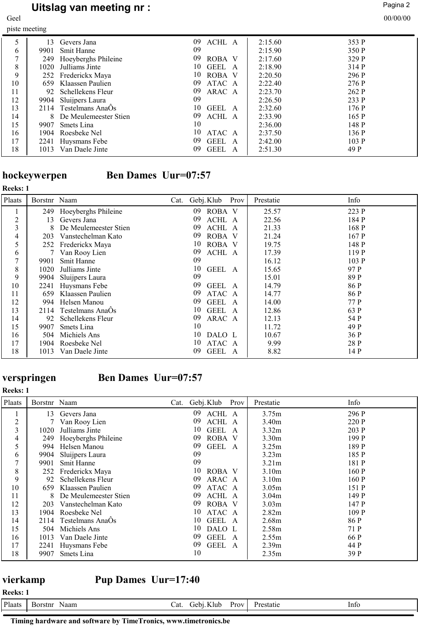# **Uitslag van meeting nr :** Pagina 2 and Pagina 2 and Pagina 2 and Pagina 2 and Pagina 2 and Pagina 2 and Pagina 2 and Pagina 2 and Pagina 2 and Pagina 2 and Pagina 2 and Pagina 2 and Pagina 2 and Pagina 2 and Pagina 2 and

piste meeting

Geel 00/00/00

|               | J    |                       |              |         |       |
|---------------|------|-----------------------|--------------|---------|-------|
| 5             | 13   | Gevers Jana           | 09<br>ACHL A | 2:15.60 | 353 P |
| 6             | 9901 | Smit Hanne            | 09           | 2:15.90 | 350 P |
| $\mathcal{I}$ | 249  | Hoeyberghs Phileine   | 09<br>ROBA V | 2:17.60 | 329 P |
| 8             | 1020 | Julliams Jinte        | 10<br>GEEL A | 2:18.90 | 314 P |
| 9             |      | 252 Frederickx Maya   | ROBA V<br>10 | 2:20.50 | 296 P |
| 10            | 659  | Klaassen Paulien      | 09<br>ATAC A | 2:22.40 | 276 P |
| 11            | 92   | Schellekens Fleur     | 09<br>ARAC A | 2:23.70 | 262 P |
| 12            | 9904 | Sluijpers Laura       | 09           | 2:26.50 | 233 P |
| 13            |      | 2114 Testelmans AnaÔs | 10<br>GEEL A | 2:32.60 | 176 P |
| 14            | 8    | De Meulemeester Stien | 09<br>ACHL A | 2:33.90 | 165 P |
| 15            | 9907 | Smets Lina            | 10           | 2:36.00 | 148 P |
| 16            | 1904 | Roesbeke Nel          | 10<br>ATAC A | 2:37.50 | 136 P |
| 17            |      | 2241 Huysmans Febe    | 09<br>GEEL A | 2:42.00 | 103P  |
| 18            | 1013 | Van Daele Jinte       | GEEL A<br>09 | 2:51.30 | 49 P  |

# **hockeywerpen** Ben Dames Uur=07:57

| <b>Reeks: 1</b> |              |                       |      |             |      |           |       |
|-----------------|--------------|-----------------------|------|-------------|------|-----------|-------|
| Plaats          | Borstnr Naam |                       | Cat. | Gebj. Klub  | Prov | Prestatie | Info  |
|                 | 249          | Hoeyberghs Phileine   | 09   | ROBA V      |      | 25.57     | 223 P |
| 2               | 13           | Gevers Jana           | 09   | ACHL A      |      | 22.56     | 184 P |
| 3               | 8.           | De Meulemeester Stien | 09   | ACHL A      |      | 21.33     | 168 P |
| 4               | 203          | Vanstechelman Kato    | 09   | ROBA V      |      | 21.24     | 167 P |
| 5               | 252          | Frederickx Maya       | 10   | ROBA V      |      | 19.75     | 148 P |
| 6               | 7            | Van Rooy Lien         | 09   | ACHL A      |      | 17.39     | 119 P |
| 7               | 9901         | Smit Hanne            | 09   |             |      | 16.12     | 103 P |
| 8               | 1020         | Julliams Jinte        | 10   | GEEL A      |      | 15.65     | 97 P  |
| 9               | 9904         | Sluijpers Laura       | 09   |             |      | 15.01     | 89 P  |
| 10              | 2241         | Huysmans Febe         | 09   | GEEL A      |      | 14.79     | 86 P  |
| 11              | 659          | Klaassen Paulien      | 09   | ATAC A      |      | 14.77     | 86 P  |
| 12              | 994          | Helsen Manou          | 09   | <b>GEEL</b> | A    | 14.00     | 77 P  |
| 13              | 2114         | Testelmans AnaOs      | 10   | <b>GEEL</b> | - A  | 12.86     | 63 P  |
| 14              | 92           | Schellekens Fleur     | 09   | ARAC A      |      | 12.13     | 54 P  |
| 15              | 9907         | Smets Lina            | 10   |             |      | 11.72     | 49 P  |
| 16              | 504          | Michiels Ans          | 10   | DALO L      |      | 10.67     | 36 P  |
| 17              | 1904         | Roesbeke Nel          | 10   | ATAC A      |      | 9.99      | 28 P  |
| 18              | 1013         | Van Daele Jinte       | 09   | <b>GEEL</b> | A    | 8.82      | 14 P  |

# **Reeks: 1**

# **verspringen Ben Dames Uur=07:57**

| Plaats         | Borstnr Naam |                       | Cat. | Gebj. Klub  | Prov         | Prestatie         | Info  |
|----------------|--------------|-----------------------|------|-------------|--------------|-------------------|-------|
|                | 13           | Gevers Jana           | 09   | ACHL A      |              | 3.75m             | 296 P |
| $\overline{2}$ |              | Van Rooy Lien         | 09   | ACHL A      |              | 3.40m             | 220 P |
| 3              | 1020         | Julliams Jinte        | 10   | GEEL A      |              | 3.32 <sub>m</sub> | 203 P |
| 4              | 249          | Hoeyberghs Phileine   | 09   | ROBA V      |              | 3.30 <sub>m</sub> | 199 P |
| 5              | 994          | Helsen Manou          | 09   | GEEL A      |              | 3.25m             | 189 P |
| 6              | 9904         | Sluijpers Laura       | 09   |             |              | 3.23m             | 185 P |
| $\tau$         | 9901         | Smit Hanne            | 09   |             |              | 3.21 <sub>m</sub> | 181 P |
| 8              |              | 252 Frederickx Maya   | 10   | ROBA V      |              | 3.10 <sub>m</sub> | 160 P |
| 9              | 92           | Schellekens Fleur     | 09   | ARAC A      |              | 3.10 <sub>m</sub> | 160 P |
| 10             | 659          | Klaassen Paulien      | 09   | ATAC A      |              | 3.05m             | 151 P |
| 11             |              | De Meulemeester Stien | 09   | ACHL A      |              | 3.04 <sub>m</sub> | 149 P |
| 12             | 203          | Vanstechelman Kato    | 09   | ROBA V      |              | 3.03 <sub>m</sub> | 147 P |
| 13             | 1904         | Roesbeke Nel          | 10   | ATAC A      |              | 2.82m             | 109 P |
| 14             | 2114         | Testelmans AnaOs      | 10   | GEEL A      |              | 2.68m             | 86 P  |
| 15             | 504          | Michiels Ans          | 10   | DALO L      |              | 2.58m             | 71 P  |
| 16             | 1013         | Van Daele Jinte       | 09   | <b>GEEL</b> | $\mathbf{A}$ | 2.55m             | 66 P  |
| 17             |              | 2241 Huysmans Febe    | 09   | GEEL A      |              | 2.39 <sub>m</sub> | 44 P  |
| 18             | 9907         | Smets Lina            | 10   |             |              | 2.35m             | 39 P  |

**vierkamp Pup Dames Uur=17:40**

| <b>Reeks:</b> |                 |     |                 |      |         |      |
|---------------|-----------------|-----|-----------------|------|---------|------|
| Plaats        | Naam<br>Borstnr | at. | . Klub<br>iehi. | Prov | estatie | Info |
|               |                 |     |                 |      |         |      |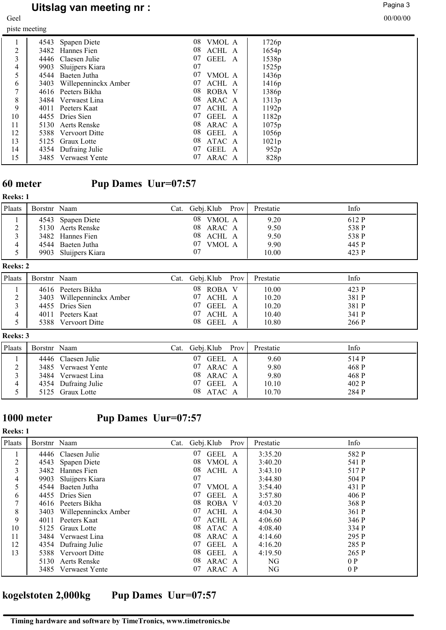# **Uitslag van meeting nr :** Pagina 3<br>
Pagina 3<br>
00/00/00

Geel 00/00/00

| piste meeting |      |                      |    |        |                   |  |
|---------------|------|----------------------|----|--------|-------------------|--|
|               |      | 4543 Spapen Diete    | 08 | VMOL A | 1726p             |  |
| 2             |      | 3482 Hannes Fien     | 08 | ACHL A | 1654p             |  |
| 3             |      | 4446 Claesen Julie   | 07 | GEEL A | 1538p             |  |
| 4             | 9903 | Sluijpers Kiara      | 07 |        | 1525 <sub>p</sub> |  |
| 5             | 4544 | Baeten Jutha         | 07 | VMOL A | 1436p             |  |
| 6             | 3403 | Willepenninckx Amber | 07 | ACHL A | 1416 <sub>p</sub> |  |
| 7             |      | 4616 Peeters Bikha   | 08 | ROBA V | 1386 <sub>p</sub> |  |
| 8             |      | 3484 Verwaest Lina   | 08 | ARAC A | 1313p             |  |
| 9             | 4011 | Peeters Kaat         | 07 | ACHL A | 1192p             |  |
| 10            |      | 4455 Dries Sien      | 07 | GEEL A | 1182p             |  |
| 11            |      | 5130 Aerts Renske    | 08 | ARAC A | 1075p             |  |
| 12            |      | 5388 Vervoort Ditte  | 08 | GEEL A | 1056p             |  |
| 13            | 5125 | Graux Lotte          | 08 | ATAC A | 1021p             |  |
| 14            |      | 4354 Dufraing Julie  | 07 | GEEL A | 952p              |  |
| 15            | 3485 | Verwaest Yente       | 07 | ARAC A | 828p              |  |

# **60 meter Pup Dames Uur=07:57**

## **Reeks: 1**

| Plaats | Borstnr Naam |                      | Cat. Gebj.Klub Prov | Prestatie | Info  |
|--------|--------------|----------------------|---------------------|-----------|-------|
|        |              | 4543 Spapen Diete    | 08<br>VMOL A        | 9.20      | 612 P |
|        |              | 5130 Aerts Renske    | 08 ARAC A           | 9.50      | 538 P |
|        |              | 3482 Hannes Fien     | 08 ACHL A           | 9.50      | 538 P |
|        |              | 4544 Baeten Jutha    | 07<br>VMOL A        | 9.90      | 445 P |
|        |              | 9903 Sluijpers Kiara |                     | 10.00     | 423 P |

## **Reeks: 2**

| Plaats | Borstnr Naam |                           | Cat. | Gebj. Klub   | Prov | Prestatie | Info  |
|--------|--------------|---------------------------|------|--------------|------|-----------|-------|
|        |              | 4616 Peeters Bikha        |      | 08<br>ROBA V |      | 10.00     | 423 P |
| $\sim$ |              | 3403 Willepenninckx Amber |      | 07<br>ACHL A |      | 10.20     | 381 P |
|        |              | 4455 Dries Sien           |      | 07<br>GEEL A |      | 10.20     | 381 P |
|        |              | 4011 Peeters Kaat         |      | 07<br>ACHL A |      | 10.40     | 341 P |
|        |              | 5388 Vervoort Ditte       |      | 08<br>GEEL A |      | 10.80     | 266 P |

## **Reeks: 3**

| Plaats | Borstnr Naam |                     | Cat. | Gebj. Klub   | Prov | Prestatie | Info  |
|--------|--------------|---------------------|------|--------------|------|-----------|-------|
|        |              | 4446 Claesen Julie  |      | 07<br>GEEL A |      | 9.60      | 514 P |
|        |              | 3485 Verwaest Yente |      | ARAC A<br>07 |      | 9.80      | 468 P |
|        |              | 3484 Verwaest Lina  |      | 08<br>ARAC A |      | 9.80      | 468 P |
|        |              | 4354 Dufraing Julie |      | 07<br>GEEL A |      | 10.10     | 402 P |
|        |              | 5125 Graux Lotte    |      | 08<br>ATAC A |      | 10.70     | 284 P |

**Reeks: 1**

# **1000 meter Pup Dames Uur=07:57**

| Plaats | Borstnr Naam |                      | Cat. Gebj. Klub | Prov | Prestatie | Info  |
|--------|--------------|----------------------|-----------------|------|-----------|-------|
|        |              | 4446 Claesen Julie   | 07<br>GEEL A    |      | 3:35.20   | 582 P |
| 2      | 4543         | Spapen Diete         | 08<br>VMOL A    |      | 3:40.20   | 541 P |
| 3      | 3482         | Hannes Fien          | 08<br>ACHL A    |      | 3:43.10   | 517 P |
| 4      | 9903         | Sluijpers Kiara      | 07              |      | 3:44.80   | 504 P |
| 5      | 4544         | Baeten Jutha         | 07<br>VMOL A    |      | 3:54.40   | 431 P |
| 6      |              | 4455 Dries Sien      | 07<br>GEEL A    |      | 3:57.80   | 406 P |
|        |              | 4616 Peeters Bikha   | 08<br>ROBA V    |      | 4:03.20   | 368 P |
| 8      | 3403         | Willepenninckx Amber | 07<br>ACHL A    |      | 4:04.30   | 361 P |
| 9      | 4011         | Peeters Kaat         | 07<br>ACHL A    |      | 4:06.60   | 346 P |
| 10     |              | 5125 Graux Lotte     | 08<br>ATAC A    |      | 4:08.40   | 334 P |
| 11     |              | 3484 Verwaest Lina   | 08<br>ARAC A    |      | 4:14.60   | 295 P |
| 12     |              | 4354 Dufraing Julie  | GEEL A<br>07    |      | 4:16.20   | 285 P |
| 13     |              | 5388 Vervoort Ditte  | 08<br>GEEL A    |      | 4:19.50   | 265 P |
|        |              | 5130 Aerts Renske    | 08<br>ARAC A    |      | NG        | 0P    |
|        |              | 3485 Verwaest Yente  | ARAC A<br>07    |      | NG        | 0P    |

# **kogelstoten 2,000kg Pup Dames Uur=07:57**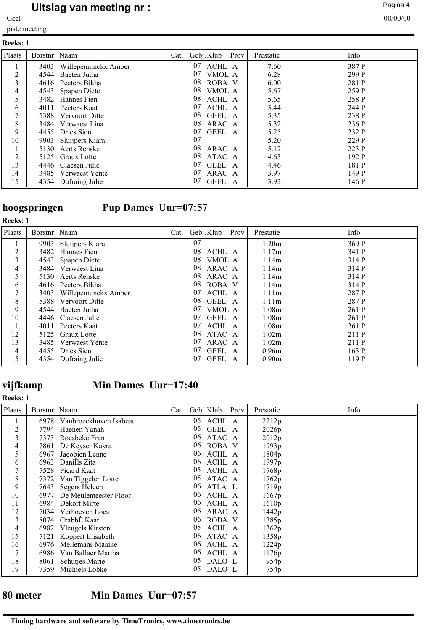# **Uitslag van meeting nr :** Pagina 4 and Pagina 4 and Pagina 4 and Pagina 4 and Pagina 4 and Pagina 4 and Pagina 4 and Pagina 4 and Pagina 4 and Pagina 4 and Pagina 4 and Pagina 4 and Pagina 4 and Pagina 4 and Pagina 4 and

piste meeting

| <b>Reeks: 1</b> |              |                      |                 |      |           |       |
|-----------------|--------------|----------------------|-----------------|------|-----------|-------|
| Plaats          | Borstnr Naam |                      | Cat. Gebj. Klub | Prov | Prestatie | Info  |
|                 | 3403         | Willepenninckx Amber | ACHL A<br>07    |      | 7.60      | 387 P |
| 2               | 4544         | Baeten Jutha         | 07<br>VMOL A    |      | 6.28      | 299 P |
| 3               |              | 4616 Peeters Bikha   | 08<br>ROBA V    |      | 6.00      | 281 P |
| 4               | 4543         | Spapen Diete         | 08<br>VMOL A    |      | 5.67      | 259 P |
| 5               | 3482         | Hannes Fien          | 08<br>ACHL A    |      | 5.65      | 258 P |
| 6               | 4011         | Peeters Kaat         | 07<br>ACHL A    |      | 5.44      | 244 P |
|                 |              | 5388 Vervoort Ditte  | GEEL A<br>08    |      | 5.35      | 238 P |
| 8               |              | 3484 Verwaest Lina   | 08<br>ARAC A    |      | 5.32      | 236 P |
| 9               |              | 4455 Dries Sien      | 07<br>GEEL A    |      | 5.25      | 232 P |
| 10              | 9903         | Sluijpers Kiara      | 07              |      | 5.20      | 229 P |
| 11              | 5130         | Aerts Renske         | 08<br>ARAC A    |      | 5.12      | 223 P |
| 12              |              | 5125 Graux Lotte     | 08<br>ATAC A    |      | 4.63      | 192P  |
| 13              |              | 4446 Claesen Julie   | GEEL A<br>07    |      | 4.46      | 181 P |
| 14              |              | 3485 Verwaest Yente  | 07<br>ARAC A    |      | 3.97      | 149 P |
| 15              |              | 4354 Dufraing Julie  | GEEL A<br>07    |      | 3.92      | 146 P |

**Reeks: 1**

# **hoogspringen Pup Dames Uur=07:57**

| Plaats | Borstnr Naam |                      | Cat. Gebj. Klub | Prov   | Prestatie         | Info  |
|--------|--------------|----------------------|-----------------|--------|-------------------|-------|
|        | 9903         | Sluijpers Kiara      | 07              |        | 1.20m             | 369 P |
| 2      | 3482         | Hannes Fien          | 08              | ACHL A | 1.17m             | 341 P |
| 3      |              | 4543 Spapen Diete    | 08              | VMOL A | 1.14m             | 314 P |
| 4      |              | 3484 Verwaest Lina   | 08              | ARAC A | 1.14m             | 314 P |
| 5      |              | 5130 Aerts Renske    | 08              | ARAC A | 1.14m             | 314 P |
| 6      |              | 4616 Peeters Bikha   | 08              | ROBA V | 1.14m             | 314 P |
| 7      | 3403         | Willepenninckx Amber | 07              | ACHL A | 1.11 <sub>m</sub> | 287 P |
| 8      |              | 5388 Vervoort Ditte  | 08              | GEEL A | 1.11 <sub>m</sub> | 287 P |
| 9      |              | 4544 Baeten Jutha    | 07              | VMOL A | 1.08 <sub>m</sub> | 261 P |
| 10     |              | 4446 Claesen Julie   | 07              | GEEL A | 1.08 <sub>m</sub> | 261 P |
| 11     |              | 4011 Peeters Kaat    | 07              | ACHL A | 1.08 <sub>m</sub> | 261 P |
| 12     |              | 5125 Graux Lotte     | 08              | ATAC A | 1.02m             | 211 P |
| 13     |              | 3485 Verwaest Yente  | 07              | ARAC A | 1.02m             | 211 P |
| 14     |              | 4455 Dries Sien      | 07              | GEEL A | 0.96m             | 163 P |
| 15     |              | 4354 Dufraing Julie  | 07              | GEEL A | 0.90 <sub>m</sub> | 119 P |

# **vijfkamp Min Dames Uur=17:40**

### **Reeks: 1**

| Plaats | Borstnr Naam |                             | Cat. | Gebj. Klub        | Prov | Prestatie         | Info |
|--------|--------------|-----------------------------|------|-------------------|------|-------------------|------|
|        |              | 6978 Vanbroeckhoven Isabeau |      | 05<br>ACHL A      |      | 2212p             |      |
| 2      | 7794         | Haenen Yanah                |      | 05<br><b>GEEL</b> | A    | 2026 <sub>p</sub> |      |
| 3      | 7373.        | Roesbeke Fran               |      | 06<br>ATAC A      |      | 2012p             |      |
| 4      | 7861         | De Keyser Kayra             |      | ROBA V<br>06      |      | 1993 <sub>p</sub> |      |
| 5      | 6967         | Jacobien Lenne              |      | ACHL A<br>06      |      | 1804p             |      |
| 6      | 6963         | Danills Zita                |      | 06<br>ACHL A      |      | 1797 <sub>p</sub> |      |
| 7      |              | 7528 Picard Kaat            |      | 05<br>ACHL A      |      | 1768p             |      |
| 8      | 7372         | Van Tiggelen Lotte          |      | 05<br>ATAC A      |      | 1762p             |      |
| 9      | 7643         | Segers Heleen               |      | 06<br>ATLA L      |      | 1719 <sub>p</sub> |      |
| 10     | 6977         | De Meulemeester Floor       |      | ACHL A<br>06      |      | 1667p             |      |
| 11     |              | 6984 Dekort Mirte           |      | 06<br>ACHL A      |      | 1610p             |      |
| 12     |              | 7034 Verhoeven Loes         |      | 06<br>ARAC A      |      | 1442 <sub>p</sub> |      |
| 13     | 8074         | CrabbE Kaat                 |      | ROBA V<br>06      |      | 1385p             |      |
| 14     | 6982         | Vleugels Kirsten            |      | 05<br>ACHL A      |      | 1362 <sub>p</sub> |      |
| 15     | 7121         | Koppert Elisabeth           |      | ATAC A<br>06      |      | 1358p             |      |
| 16     |              | 6976 Mellemans Maaike       |      | ACHL A<br>06      |      | 1224p             |      |
| 17     |              | 6986 Van Ballaer Martha     |      | ACHL A<br>06      |      | 1176 <sub>p</sub> |      |
| 18     | 8061         | <b>Schutjes Marie</b>       |      | 05<br>DALO L      |      | 954 <sub>p</sub>  |      |
| 19     | 7359         | Michiels Lobke              |      | 05<br>DALO L      |      | 754 <sub>p</sub>  |      |

## **80 meter Min Dames Uur=07:57**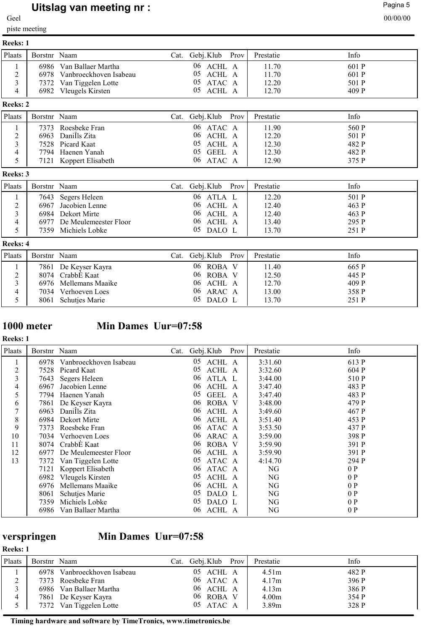# **Uitslag van meeting nr :** Pagina 5 and 2010/07/2010 12:00 and 2010/07/2010 12:00 and 2010/07/2010 12:00 and 20<br>00/00/00

piste meeting

| <b>Reeks: 1</b> |              |                                                                                   |                                     |                         |                         |
|-----------------|--------------|-----------------------------------------------------------------------------------|-------------------------------------|-------------------------|-------------------------|
| Plaats          | Borstnr Naam |                                                                                   | Cat. Gebj.Klub Prov                 | Prestatie               | Info                    |
|                 |              | 6986 Van Ballaer Martha<br>6978 Vanbroeckhoven Isabeau<br>7372 Van Tiggelen Lotte | 06 ACHL A<br>05 ACHL A<br>05 ATAC A | 11.70<br>11.70<br>12.20 | 601 P<br>601 P<br>501 P |
| 4               |              | 6982 Vleugels Kirsten                                                             | 05 ACHL A                           | 12.70                   | 409 P                   |

## **Reeks: 2**

| <b>Plaats</b> | Borstnr Naam |                        | Cat. Gebj. Klub Prov | Prestatie | Info  |
|---------------|--------------|------------------------|----------------------|-----------|-------|
|               |              | 7373 Roesbeke Fran     | $06$ ATAC A          | 11.90     | 560 P |
|               |              | 6963 Danills Zita      | 06 ACHL A            | 12.20     | 501 P |
|               |              | 7528 Picard Kaat       | 05 ACHL A            | 12.30     | 482 P |
| 4             |              | 7794 Haenen Yanah      | 05 GEEL A            | 12.30     | 482 P |
|               |              | 7121 Koppert Elisabeth | 06 ATAC A            | 12.90     | 375 P |

## **Reeks: 3**

| Plaats | Borstnr Naam |                            | Cat. | Gebj. Klub | Prov | Prestatie | Info  |
|--------|--------------|----------------------------|------|------------|------|-----------|-------|
|        |              | 7643 Segers Heleen         |      | 06 ATLA L  |      | 12.20     | 501 P |
|        |              | 6967 Jacobien Lenne        |      | 06 ACHL A  |      | 12.40     | 463 P |
|        |              | 6984 Dekort Mirte          |      | 06 ACHL A  |      | 12.40     | 463 P |
|        |              | 6977 De Meulemeester Floor |      | 06 ACHL A  |      | 13.40     | 295 P |
|        | 7359         | Michiels Lobke             |      | 05 DALO L  |      | 13.70     | 251 P |

### **Reeks: 4**

| Plaats | Borstnr Naam |                       | 'Jat. | Gebj. Klub    | Prov | Prestatie | Info  |
|--------|--------------|-----------------------|-------|---------------|------|-----------|-------|
|        |              | 7861 De Keyser Kayra  |       | 06.<br>ROBA V |      | 11.40     | 665 P |
| $\sim$ |              | 8074 CrabbE Kaat      |       | 06 ROBA V     |      | 12.50     | 445 P |
|        |              | 6976 Mellemans Maaike |       | 06 ACHL A     |      | 12.70     | 409 P |
| 4      | 7034         | Verhoeven Loes        |       | 06.<br>ARAC A |      | 13.00     | 358 P |
|        | 8061         | <b>Schutjes Marie</b> |       | 05 DALO L     |      | 13.70     | 251 P |

**Reeks: 1**

# **1000 meter Min Dames Uur=07:58**

| Plaats         | Borstnr Naam |                        | Cat. | Gebj. Klub        | Prov | Prestatie | Info  |
|----------------|--------------|------------------------|------|-------------------|------|-----------|-------|
| $\perp$        | 6978         | Vanbroeckhoven Isabeau |      | 05<br>ACHL A      |      | 3:31.60   | 613 P |
| $\overline{c}$ | 7528         | Picard Kaat            |      | 05<br>ACHL A      |      | 3:32.60   | 604 P |
| 3              | 7643         | Segers Heleen          |      | ATLA L<br>06      |      | 3:44.00   | 510 P |
| 4              | 6967         | Jacobien Lenne         |      | 06<br>ACHL A      |      | 3:47.40   | 483 P |
| 5              | 7794         | Haenen Yanah           |      | 05<br><b>GEEL</b> | A    | 3:47.40   | 483 P |
| 6              | 7861         | De Keyser Kayra        |      | 06<br>ROBA V      |      | 3:48.00   | 479 P |
| 7              | 6963         | Danills Zita           |      | 06<br>ACHL A      |      | 3:49.60   | 467 P |
| 8              | 6984         | Dekort Mirte           |      | 06<br>ACHL A      |      | 3:51.40   | 453 P |
| 9              | 7373         | Roesbeke Fran          |      | 06<br>ATAC A      |      | 3:53.50   | 437 P |
| 10             | 7034         | Verhoeven Loes         |      | 06<br>ARAC A      |      | 3:59.00   | 398 P |
| 11             | 8074         | CrabbE Kaat            |      | 06<br>ROBA V      |      | 3:59.90   | 391 P |
| 12             | 6977         | De Meulemeester Floor  |      | 06<br>ACHL A      |      | 3:59.90   | 391 P |
| 13             | 7372         | Van Tiggelen Lotte     |      | 05<br>ATAC A      |      | 4:14.70   | 294 P |
|                | 7121         | Koppert Elisabeth      |      | 06<br>ATAC A      |      | NG        | 0P    |
|                | 6982         | Vleugels Kirsten       |      | ACHL A<br>05      |      | NG        | 0P    |
|                | 6976         | Mellemans Maaike       |      | 06<br>ACHL A      |      | NG        | 0P    |
|                | 8061         | <b>Schutjes Marie</b>  |      | 05<br>DALO L      |      | NG        | 0P    |
|                | 7359         | Michiels Lobke         |      | 05<br>DALO L      |      | NG        | 0P    |
|                | 6986         | Van Ballaer Martha     |      | 06<br>ACHL A      |      | NG        | 0P    |

**Reeks: 1**

# **verspringen Min Dames Uur=07:58**

**Timing hardware and software by TimeTronics, www.timetronics.be**